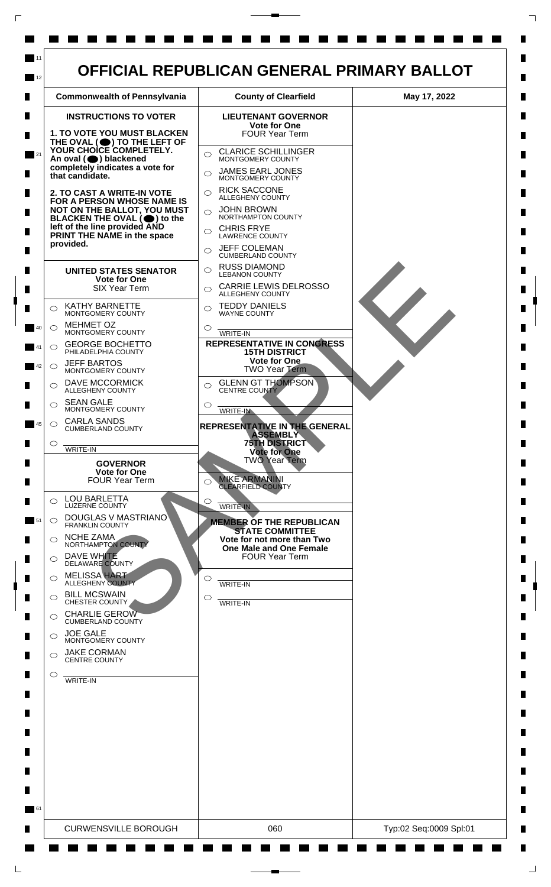

 $\mathsf{L}$